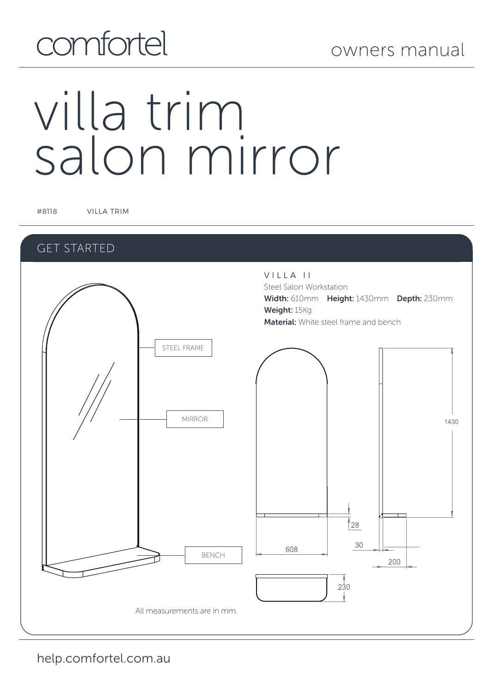## comfortel

# villa trim salon mirror

#8118 VILLA TRIM

#### GET STARTED

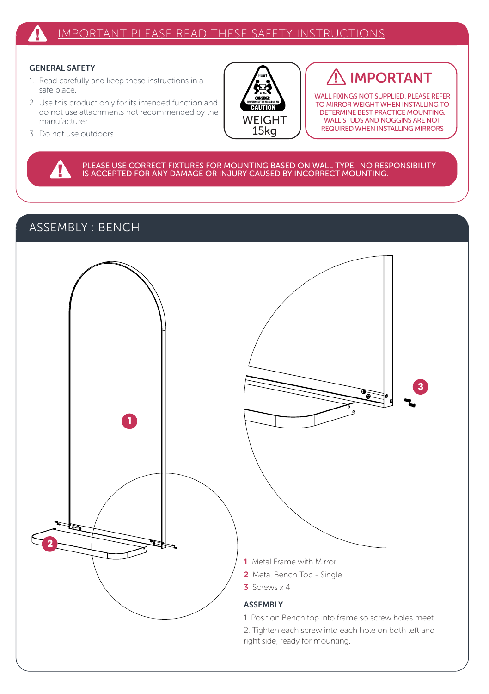#### GENERAL SAFETY

- 1. Read carefully and keep these instructions in a safe place.
- 2. Use this product only for its intended function and do not use attachments not recommended by the manufacturer.
- 3. Do not use outdoors.

ብ



### IMPORTANT

WALL FIXINGS NOT SUPPLIED. PLEASE REFER TO MIRROR WEIGHT WHEN INSTALLING TO DETERMINE BEST PRACTICE MOUNTING. WALL STUDS AND NOGGINS ARE NOT REQUIRED WHEN INSTALLING MIRRORS

PLEASE USE CORRECT FIXTURES FOR MOUNTING BASED ON WALL TYPE. NO RESPONSIBILITY<br>IS ACCEPTED FOR ANY DAMAGE OR INJURY CAUSED BY INCORRECT MOUNTING.

#### ASSEMBLY : BENCH

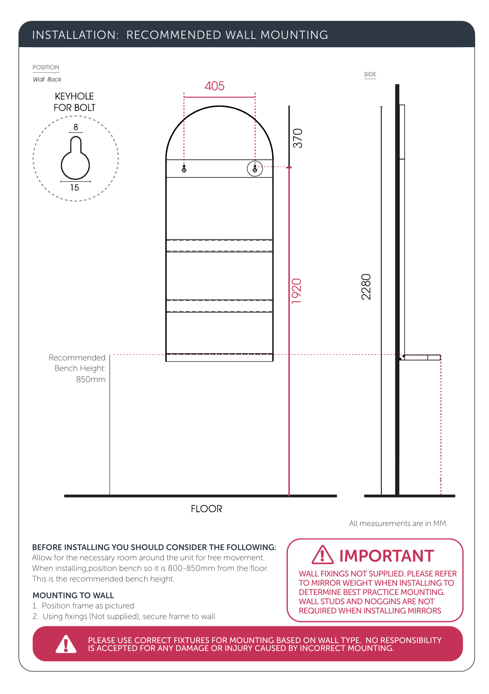#### INSTALLATION: RECOMMENDED WALL MOUNTING



All measurements are in MM.

#### BEFORE INSTALLING YOU SHOULD CONSIDER THE FOLLOWING:

Allow for the necessary room around the unit for free movement. When installing,position bench so it is 800-850mm from the floor. This is the recommended bench height.<br>This is the recommended bench height.

#### MOUNTING TO WALL

- 1. Position frame as pictured
- 2. Using fixings (Not supplied), secure frame to wall

## IMPORTANT

TO MIRROR WEIGHT WHEN INSTALLING TO DETERMINE BEST PRACTICE MOUNTING. WALL STUDS AND NOGGINS ARE NOT REQUIRED WHEN INSTALLING MIRRORS

PLEASE USE CORRECT FIXTURES FOR MOUNTING BASED ON WALL TYPE. NO RESPONSIBILITY IS ACCEPTED FOR ANY DAMAGE OR INJURY CAUSED BY INCORRECT MOUNTING.